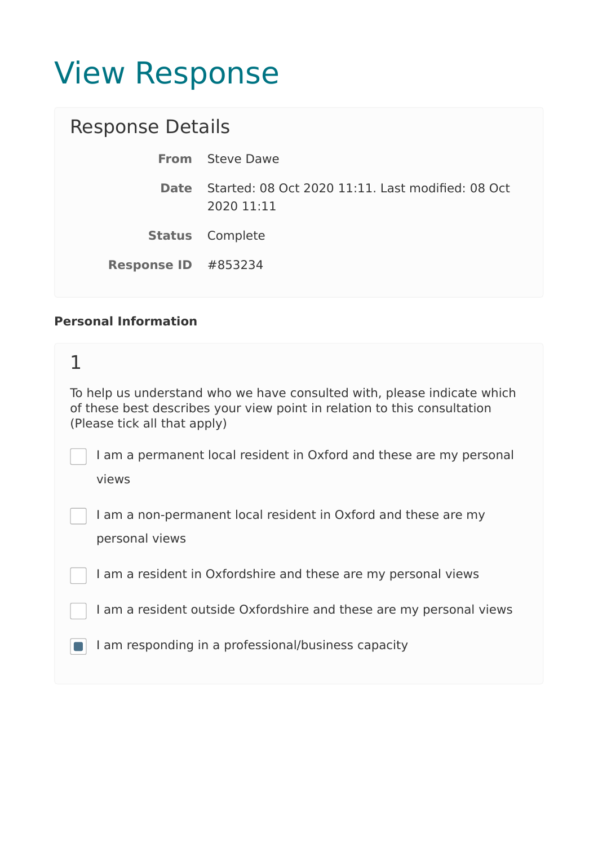# View Response

| <b>Response Details</b>                                                     |
|-----------------------------------------------------------------------------|
| <b>From</b> Steve Dawe                                                      |
| <b>Date</b> Started: 08 Oct 2020 11:11. Last modified: 08 Oct<br>2020 11:11 |
| <b>Status</b> Complete                                                      |
| <b>Response ID</b> #853234                                                  |
|                                                                             |

#### **Personal Information**

| To help us understand who we have consulted with, please indicate which<br>of these best describes your view point in relation to this consultation<br>(Please tick all that apply) |
|-------------------------------------------------------------------------------------------------------------------------------------------------------------------------------------|
| I am a permanent local resident in Oxford and these are my personal<br>views                                                                                                        |
| I am a non-permanent local resident in Oxford and these are my<br>personal views                                                                                                    |
| I am a resident in Oxfordshire and these are my personal views                                                                                                                      |
| I am a resident outside Oxfordshire and these are my personal views                                                                                                                 |
| I am responding in a professional/business capacity                                                                                                                                 |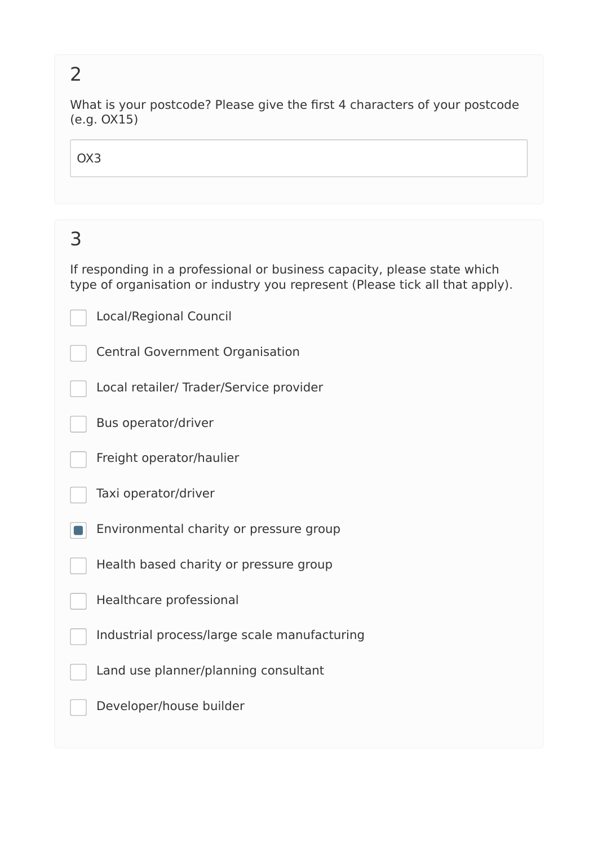What is your postcode? Please give the first 4 characters of your postcode (e.g. OX15)

OX3

# 3

If responding in a professional or business capacity, please state which type of organisation or industry you represent (Please tick all that apply).

Local/Regional Council

Central Government Organisation

Local retailer/ Trader/Service provider

Bus operator/driver

Freight operator/haulier



Environmental charity or pressure group  $\blacksquare$ 

Health based charity or pressure group

Healthcare professional

Industrial process/large scale manufacturing

Land use planner/planning consultant

Developer/house builder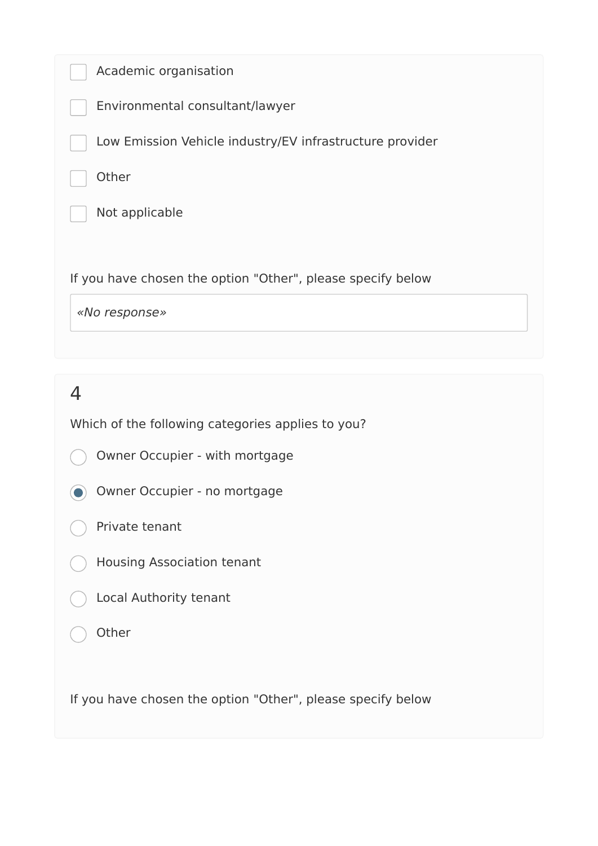| Academic organisation                                       |
|-------------------------------------------------------------|
| Environmental consultant/lawyer                             |
| Low Emission Vehicle industry/EV infrastructure provider    |
| Other                                                       |
| Not applicable                                              |
|                                                             |
| If you have chosen the option "Other", please specify below |
| «No response»                                               |

Which of the following categories applies to you?

- Owner Occupier with mortgage
- Owner Occupier no mortgage
- Private tenant
- Housing Association tenant
- Local Authority tenant
- **Other**

If you have chosen the option "Other", please specify below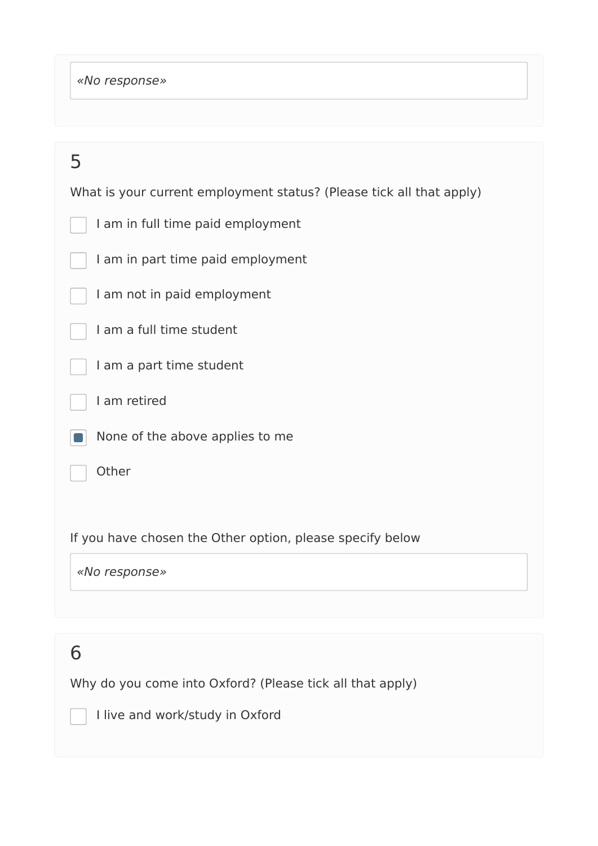*«No response»* 

| 5                                                                    |
|----------------------------------------------------------------------|
| What is your current employment status? (Please tick all that apply) |
| I am in full time paid employment                                    |
| I am in part time paid employment                                    |
| I am not in paid employment                                          |
| I am a full time student                                             |
| I am a part time student                                             |
| I am retired                                                         |
| None of the above applies to me                                      |
| Other                                                                |
|                                                                      |
| If you have chosen the Other option, please specify below            |
| «No response»                                                        |
|                                                                      |

# 6

Why do you come into Oxford? (Please tick all that apply)

I live and work/study in Oxford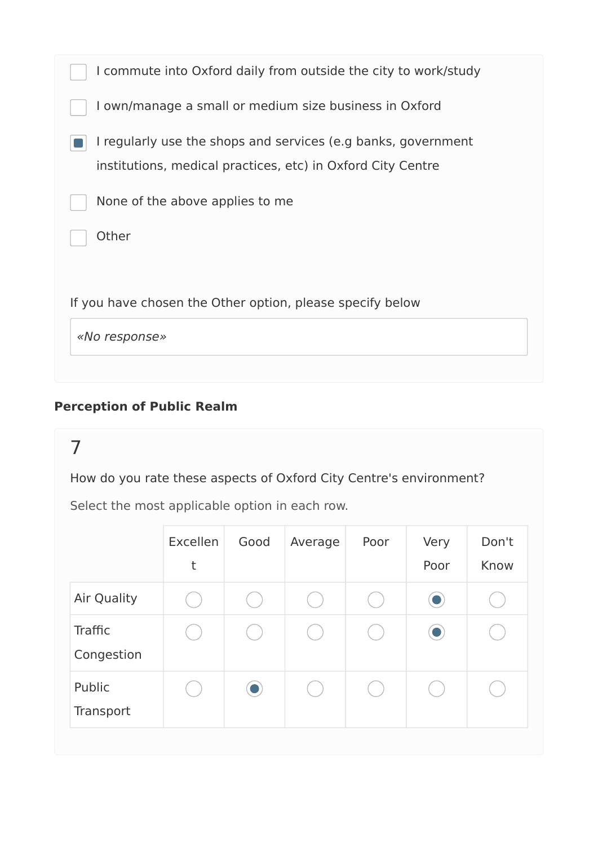| If you have chosen the Other option, please specify below                                                                    |
|------------------------------------------------------------------------------------------------------------------------------|
| Other                                                                                                                        |
| None of the above applies to me                                                                                              |
| I regularly use the shops and services (e.g banks, government<br>institutions, medical practices, etc) in Oxford City Centre |
| I own/manage a small or medium size business in Oxford                                                                       |
| I commute into Oxford daily from outside the city to work/study                                                              |

#### **Perception of Public Realm**

### 7

How do you rate these aspects of Oxford City Centre's environment?

|                       | Excellen<br>t | Good      | Average | Poor | Very<br>Poor | Don't<br>Know |
|-----------------------|---------------|-----------|---------|------|--------------|---------------|
| Air Quality           |               |           |         |      |              |               |
| Traffic<br>Congestion |               |           |         |      |              |               |
| Public<br>Transport   |               | $\bullet$ |         |      |              |               |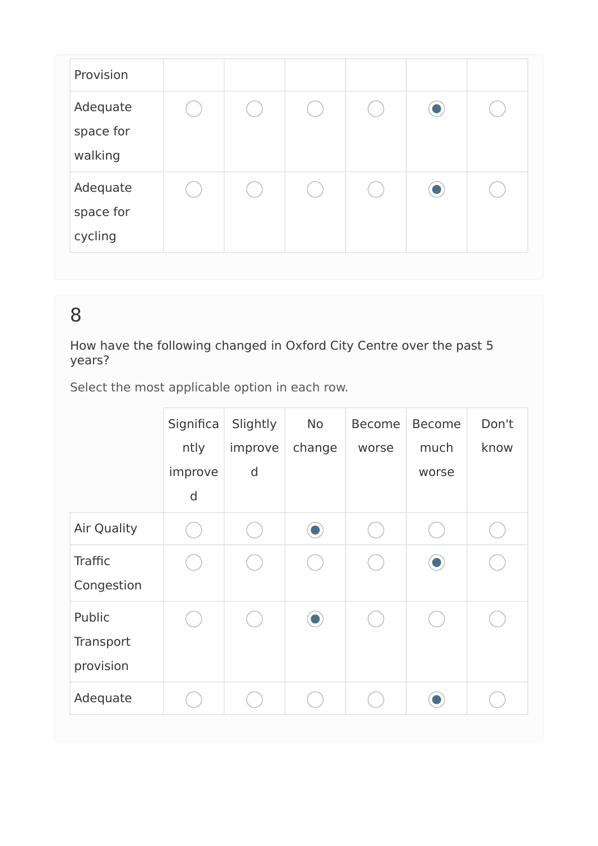| Provision                        |  |  |           |  |
|----------------------------------|--|--|-----------|--|
| Adequate<br>space for<br>walking |  |  | O         |  |
| Adequate<br>space for<br>cycling |  |  | $\bullet$ |  |

How have the following changed in Oxford City Centre over the past 5 years?

|                                  | Significa<br>ntly<br>improve<br>d | Slightly<br>improve<br>$\mathsf{d}$ | <b>No</b><br>change | <b>Become</b><br>worse | <b>Become</b><br>much<br>worse | Don't<br>know |
|----------------------------------|-----------------------------------|-------------------------------------|---------------------|------------------------|--------------------------------|---------------|
| <b>Air Quality</b>               |                                   |                                     |                     |                        |                                |               |
| Traffic<br>Congestion            |                                   |                                     |                     |                        |                                |               |
| Public<br>Transport<br>provision |                                   |                                     |                     |                        |                                |               |
| Adequate                         |                                   |                                     |                     |                        |                                |               |
|                                  |                                   |                                     |                     |                        |                                |               |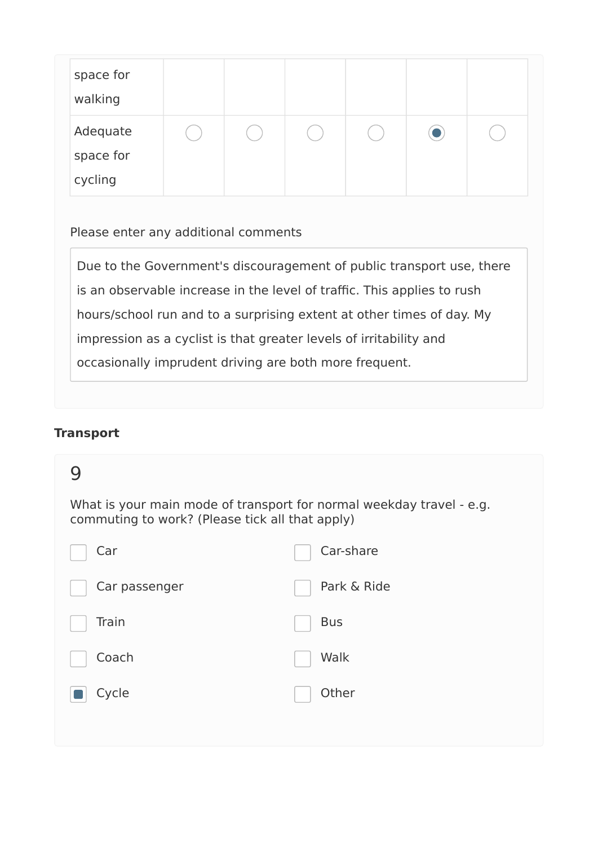| space for<br>walking |  |  |  |
|----------------------|--|--|--|
| Adequate             |  |  |  |
| space for            |  |  |  |
| cycling              |  |  |  |

Please enter any additional comments

Due to the Government's discouragement of public transport use, there is an observable increase in the level of traffic. This applies to rush hours/school run and to a surprising extent at other times of day. My impression as a cyclist is that greater levels of irritability and occasionally imprudent driving are both more frequent.

#### **Transport**

| commuting to work? (Please tick all that apply) | What is your main mode of transport for normal weekday travel - e.g. |
|-------------------------------------------------|----------------------------------------------------------------------|
| Car                                             | Car-share                                                            |
| Car passenger                                   | Park & Ride                                                          |
| Train                                           | <b>Bus</b>                                                           |
| Coach                                           | Walk                                                                 |
| Cycle                                           | Other                                                                |
|                                                 |                                                                      |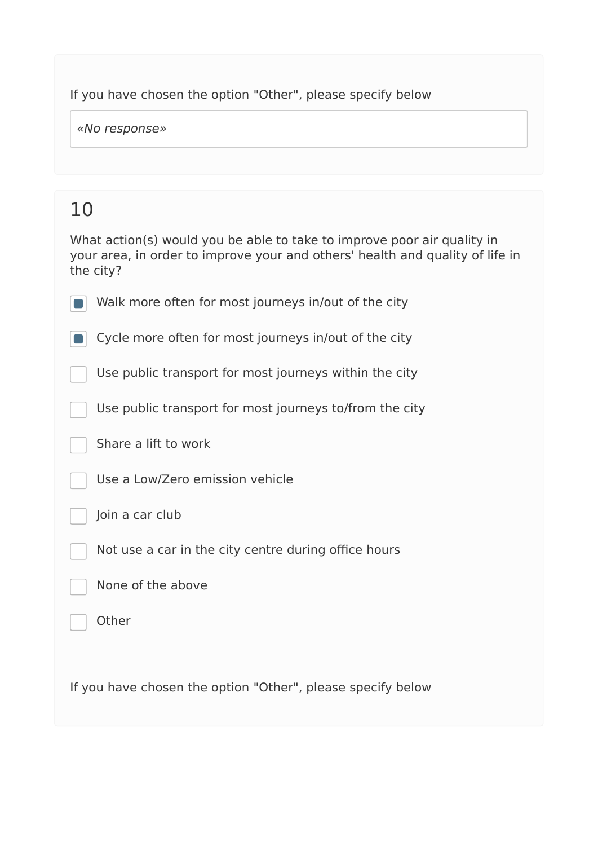#### If you have chosen the option "Other", please specify below

*«No response»* 

# 10

| What action(s) would you be able to take to improve poor air quality in<br>your area, in order to improve your and others' health and quality of life in<br>the city? |
|-----------------------------------------------------------------------------------------------------------------------------------------------------------------------|
| Walk more often for most journeys in/out of the city                                                                                                                  |
| Cycle more often for most journeys in/out of the city                                                                                                                 |
| Use public transport for most journeys within the city                                                                                                                |
| Use public transport for most journeys to/from the city                                                                                                               |
| Share a lift to work                                                                                                                                                  |
| Use a Low/Zero emission vehicle                                                                                                                                       |
| Join a car club                                                                                                                                                       |
| Not use a car in the city centre during office hours                                                                                                                  |
| None of the above                                                                                                                                                     |
| Other                                                                                                                                                                 |
|                                                                                                                                                                       |
| If you have chosen the option "Other", please specify below                                                                                                           |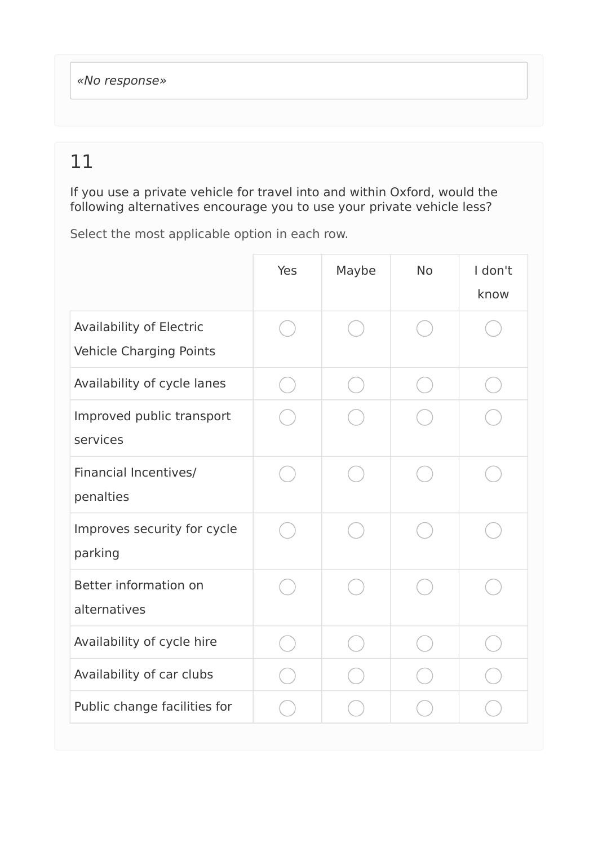If you use a private vehicle for travel into and within Oxford, would the following alternatives encourage you to use your private vehicle less?

|                                                            | Yes | Maybe | <b>No</b> | I don't<br>know |
|------------------------------------------------------------|-----|-------|-----------|-----------------|
| Availability of Electric<br><b>Vehicle Charging Points</b> |     |       |           |                 |
| Availability of cycle lanes                                |     |       |           |                 |
| Improved public transport<br>services                      |     |       |           |                 |
| <b>Financial Incentives/</b><br>penalties                  |     |       |           |                 |
| Improves security for cycle<br>parking                     |     |       |           |                 |
| Better information on<br>alternatives                      |     |       |           |                 |
| Availability of cycle hire                                 |     |       |           |                 |
| Availability of car clubs                                  |     |       |           |                 |
| Public change facilities for                               |     |       |           |                 |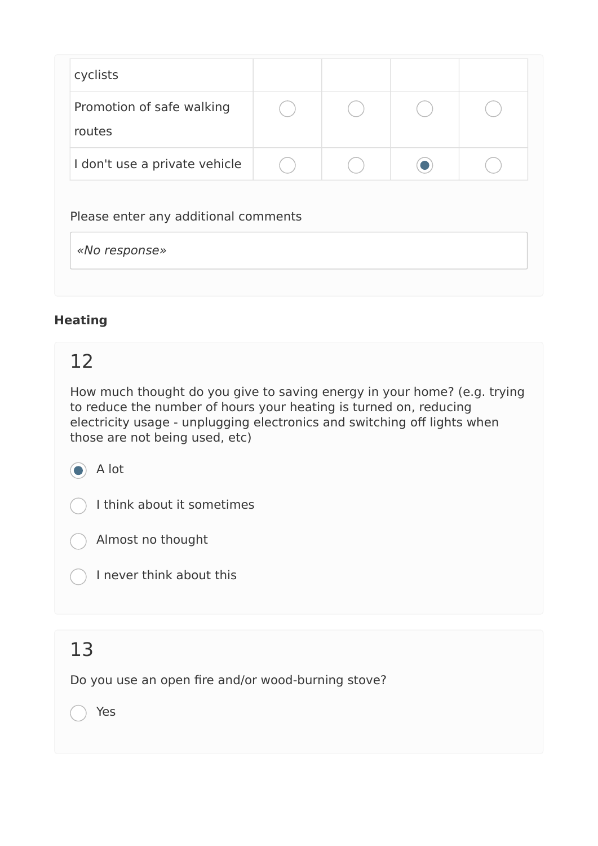| cyclists                                              |  |  |  |  |  |  |
|-------------------------------------------------------|--|--|--|--|--|--|
| Promotion of safe walking<br>routes                   |  |  |  |  |  |  |
| I don't use a private vehicle                         |  |  |  |  |  |  |
| Please enter any additional comments<br>«No response» |  |  |  |  |  |  |

#### **Heating**

### 12

How much thought do you give to saving energy in your home? (e.g. trying to reduce the number of hours your heating is turned on, reducing electricity usage - unplugging electronics and switching off lights when those are not being used, etc)

#### a A lot

I think about it sometimes

Almost no thought

I never think about this

### 13

Do you use an open fire and/or wood-burning stove?

Yes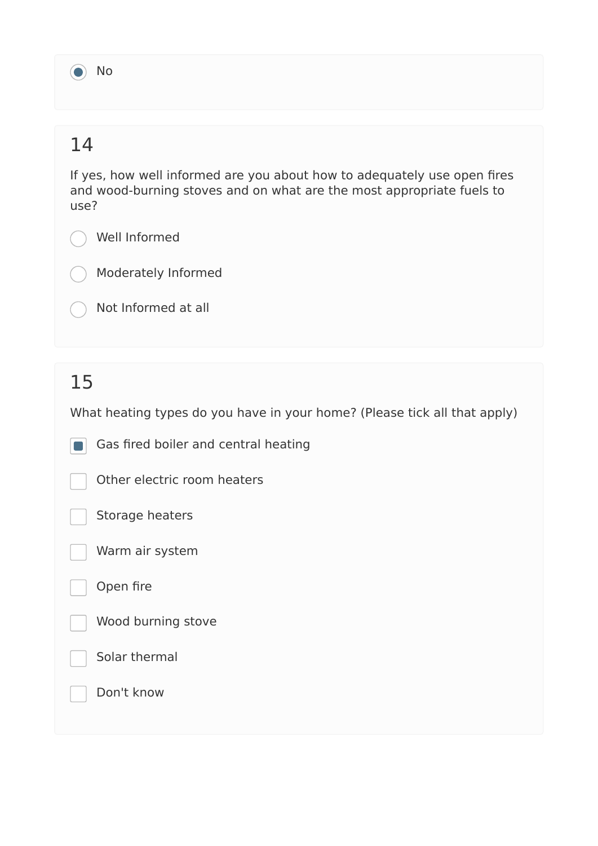a No

# 14

If yes, how well informed are you about how to adequately use open fires and wood-burning stoves and on what are the most appropriate fuels to use?

Well Informed

Moderately Informed

Not Informed at all

# 15

What heating types do you have in your home? (Please tick all that apply)

Gas fired boiler and central heating  $\blacksquare$ 

Other electric room heaters



Warm air system

Open fire

Wood burning stove

Solar thermal

Don't know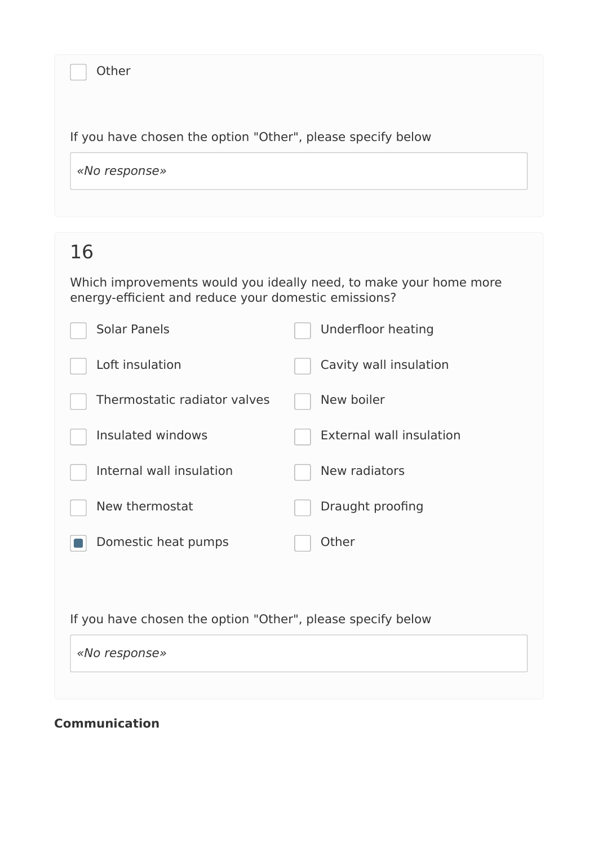| Other                                                       |  |
|-------------------------------------------------------------|--|
| If you have chosen the option "Other", please specify below |  |
| «No response»                                               |  |

Which improvements would you ideally need, to make your home more energy-efficient and reduce your domestic emissions?

| <b>Solar Panels</b>                                         | <b>Underfloor heating</b>       |
|-------------------------------------------------------------|---------------------------------|
| Loft insulation                                             | Cavity wall insulation          |
| Thermostatic radiator valves                                | New boiler                      |
| Insulated windows                                           | <b>External wall insulation</b> |
| Internal wall insulation                                    | New radiators                   |
| New thermostat                                              | Draught proofing                |
| Domestic heat pumps                                         | Other                           |
|                                                             |                                 |
| If you have chosen the option "Other", please specify below |                                 |
| «No response»                                               |                                 |
|                                                             |                                 |

#### **Communication**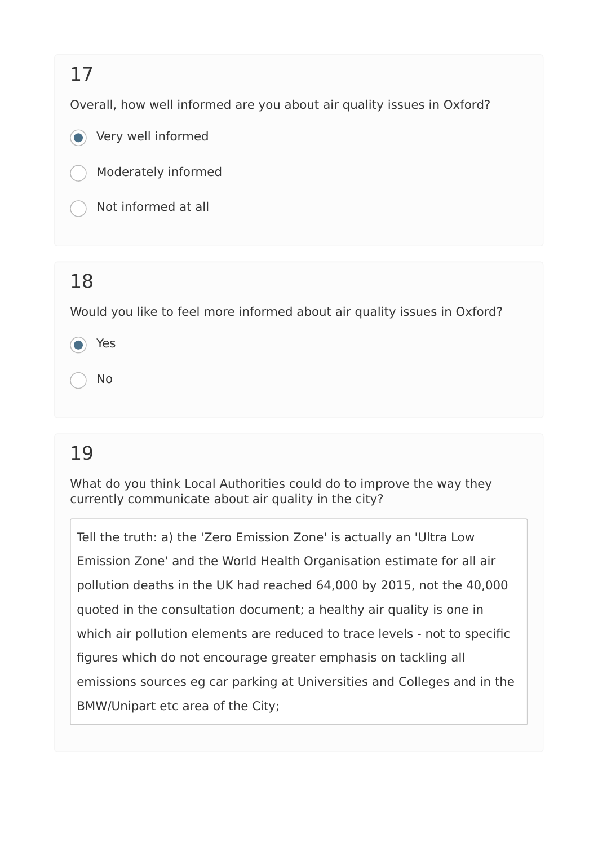Overall, how well informed are you about air quality issues in Oxford?

Very well informed



Not informed at all

### 18

Would you like to feel more informed about air quality issues in Oxford?

Yes

No

# 19

What do you think Local Authorities could do to improve the way they currently communicate about air quality in the city?

Tell the truth: a) the 'Zero Emission Zone' is actually an 'Ultra Low Emission Zone' and the World Health Organisation estimate for all air pollution deaths in the UK had reached 64,000 by 2015, not the 40,000 quoted in the consultation document; a healthy air quality is one in which air pollution elements are reduced to trace levels - not to specific figures which do not encourage greater emphasis on tackling all emissions sources eg car parking at Universities and Colleges and in the BMW/Unipart etc area of the City;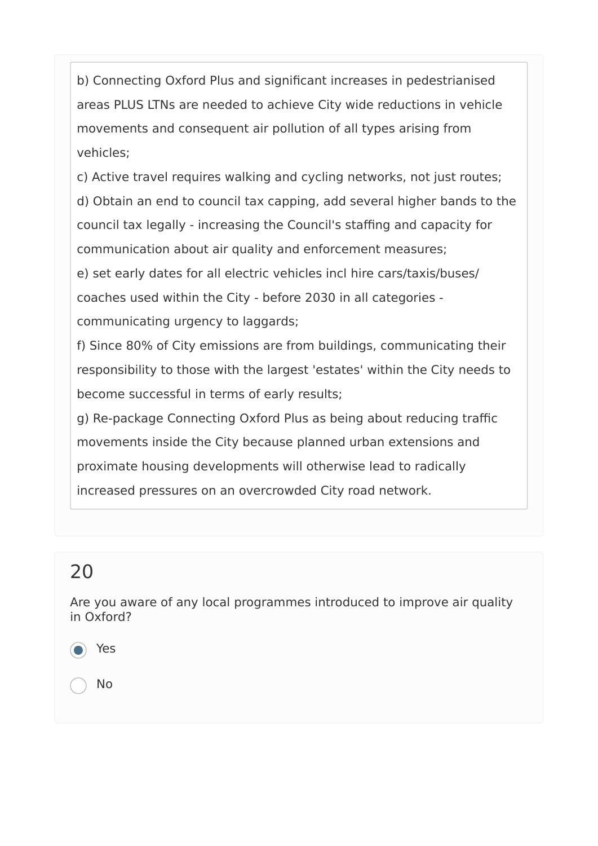b) Connecting Oxford Plus and significant increases in pedestrianised areas PLUS LTNs are needed to achieve City wide reductions in vehicle movements and consequent air pollution of all types arising from vehicles;

c) Active travel requires walking and cycling networks, not just routes; d) Obtain an end to council tax capping, add several higher bands to the council tax legally - increasing the Council's staffing and capacity for communication about air quality and enforcement measures; e) set early dates for all electric vehicles incl hire cars/taxis/buses/ coaches used within the City - before 2030 in all categories communicating urgency to laggards;

f) Since 80% of City emissions are from buildings, communicating their responsibility to those with the largest 'estates' within the City needs to become successful in terms of early results;

g) Re-package Connecting Oxford Plus as being about reducing traffic movements inside the City because planned urban extensions and proximate housing developments will otherwise lead to radically increased pressures on an overcrowded City road network.

# 20

Are you aware of any local programmes introduced to improve air quality in Oxford?

Yes

No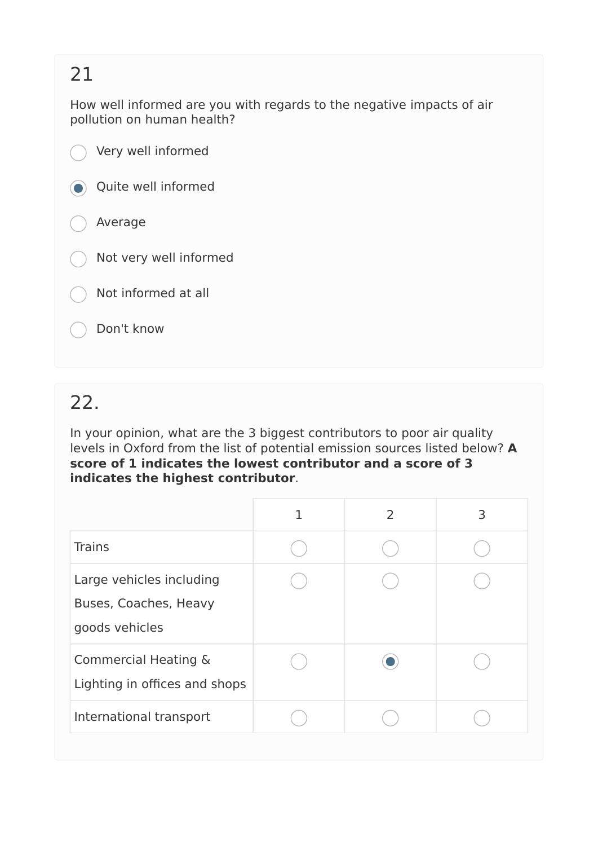How well informed are you with regards to the negative impacts of air pollution on human health?

|                          | Very well informed     |
|--------------------------|------------------------|
| $\left( \bullet \right)$ | Quite well informed    |
|                          | $( )$ Average          |
|                          | Not very well informed |
|                          | Not informed at all    |
|                          | Don't know             |

# 22.

In your opinion, what are the 3 biggest contributors to poor air quality levels in Oxford from the list of potential emission sources listed below? **A score of 1 indicates the lowest contributor and a score of 3 indicates the highest contributor**.

|                                                                     | $\mathcal{P}$ | 3 |
|---------------------------------------------------------------------|---------------|---|
| <b>Trains</b>                                                       |               |   |
| Large vehicles including<br>Buses, Coaches, Heavy<br>goods vehicles |               |   |
| <b>Commercial Heating &amp;</b><br>Lighting in offices and shops    |               |   |
| International transport                                             |               |   |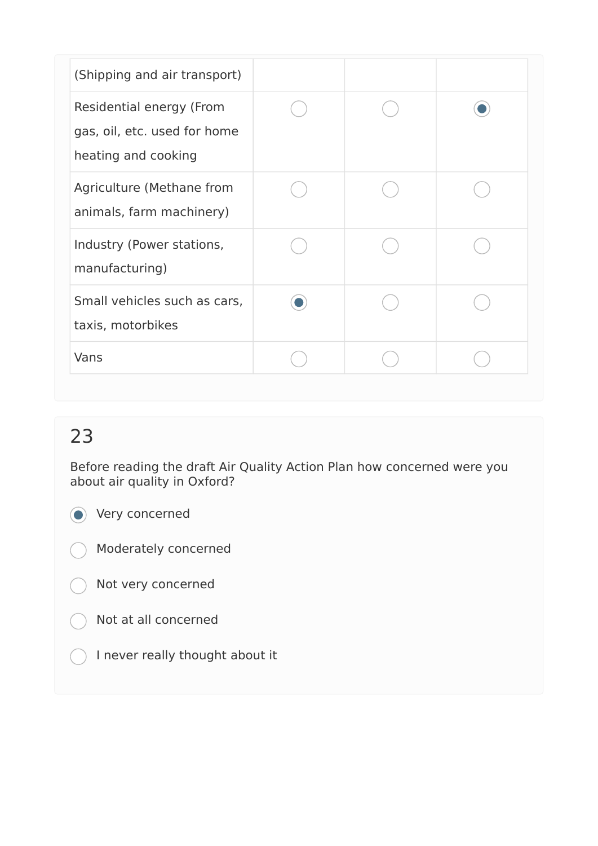| (Shipping and air transport)                                                    |  |  |
|---------------------------------------------------------------------------------|--|--|
| Residential energy (From<br>gas, oil, etc. used for home<br>heating and cooking |  |  |
| Agriculture (Methane from<br>animals, farm machinery)                           |  |  |
| Industry (Power stations,<br>manufacturing)                                     |  |  |
| Small vehicles such as cars,<br>taxis, motorbikes                               |  |  |
| Vans                                                                            |  |  |

 $\left($ 

Before reading the draft Air Quality Action Plan how concerned were you about air quality in Oxford?

**O** Very concerned

Moderately concerned

Not very concerned

Not at all concerned

I never really thought about it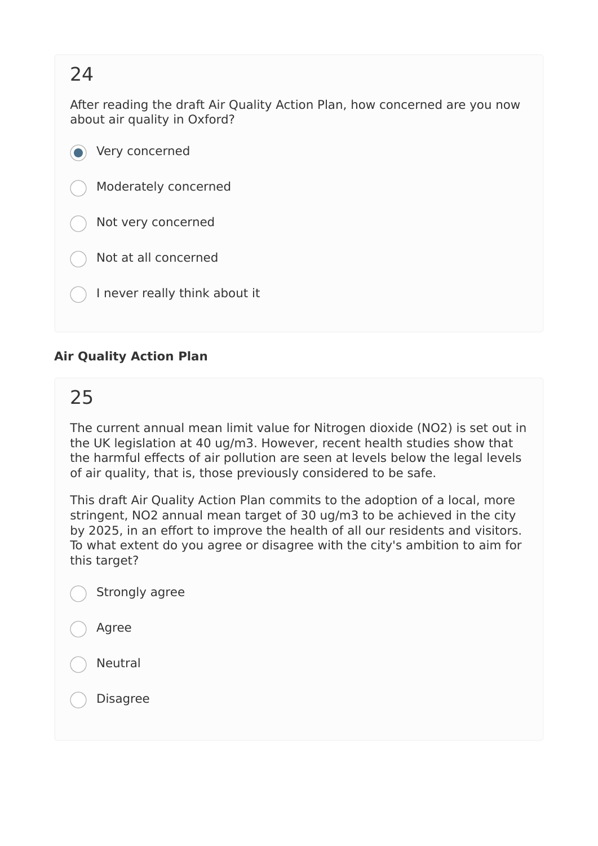After reading the draft Air Quality Action Plan, how concerned are you now about air quality in Oxford?

 $\odot$  Very concerned Moderately concerned Not very concerned Not at all concerned I never really think about it

#### **Air Quality Action Plan**

### 25

The current annual mean limit value for Nitrogen dioxide (NO2) is set out in the UK legislation at 40 ug/m3. However, recent health studies show that the harmful effects of air pollution are seen at levels below the legal levels of air quality, that is, those previously considered to be safe.

This draft Air Quality Action Plan commits to the adoption of a local, more stringent, NO2 annual mean target of 30 ug/m3 to be achieved in the city by 2025, in an effort to improve the health of all our residents and visitors. To what extent do you agree or disagree with the city's ambition to aim for this target?

- Agree
- Neutral

Disagree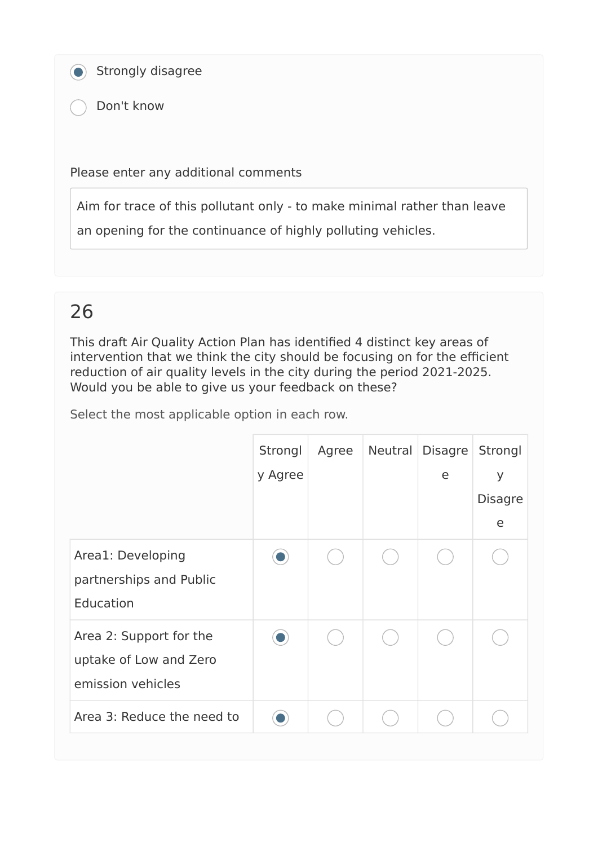Strongly disagree

Don't know

Please enter any additional comments

Aim for trace of this pollutant only - to make minimal rather than leave

an opening for the continuance of highly polluting vehicles.

### 26

This draft Air Quality Action Plan has identified 4 distinct key areas of intervention that we think the city should be focusing on for the efficient reduction of air quality levels in the city during the period 2021-2025. Would you be able to give us your feedback on these?

|                                                                        | Strongl<br>y Agree | Agree | Neutral Disagre<br>e | Strongl<br>y<br><b>Disagre</b><br>e |
|------------------------------------------------------------------------|--------------------|-------|----------------------|-------------------------------------|
| Area1: Developing<br>partnerships and Public<br>Education              |                    |       |                      |                                     |
| Area 2: Support for the<br>uptake of Low and Zero<br>emission vehicles | $\Box$             |       |                      |                                     |
| Area 3: Reduce the need to                                             |                    |       |                      |                                     |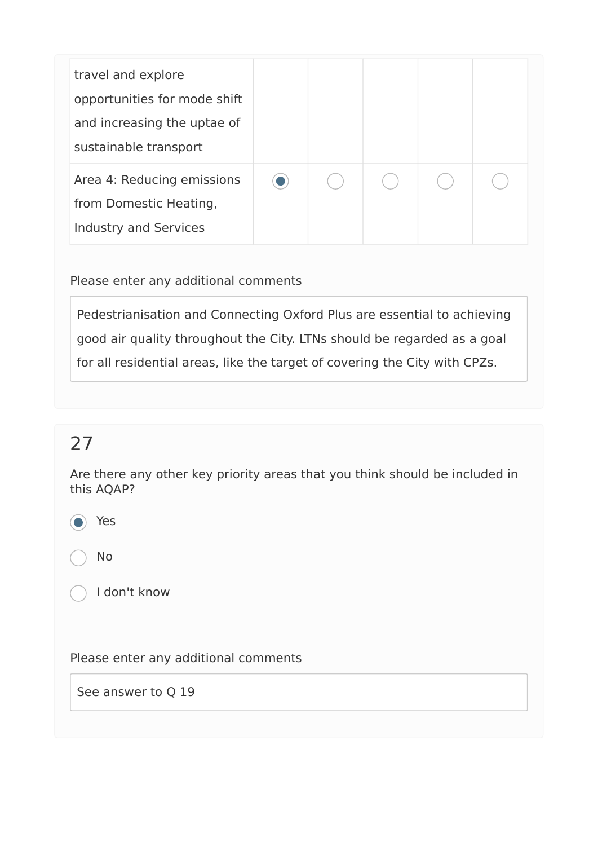| travel and explore<br>opportunities for mode shift<br>and increasing the uptae of<br>sustainable transport |  |  |  |
|------------------------------------------------------------------------------------------------------------|--|--|--|
| Area 4: Reducing emissions<br>from Domestic Heating,<br><b>Industry and Services</b>                       |  |  |  |

Please enter any additional comments

Pedestrianisation and Connecting Oxford Plus are essential to achieving good air quality throughout the City. LTNs should be regarded as a goal for all residential areas, like the target of covering the City with CPZs.

# 27

Are there any other key priority areas that you think should be included in this AQAP?

Yes

No

I don't know

Please enter any additional comments

See answer to Q 19